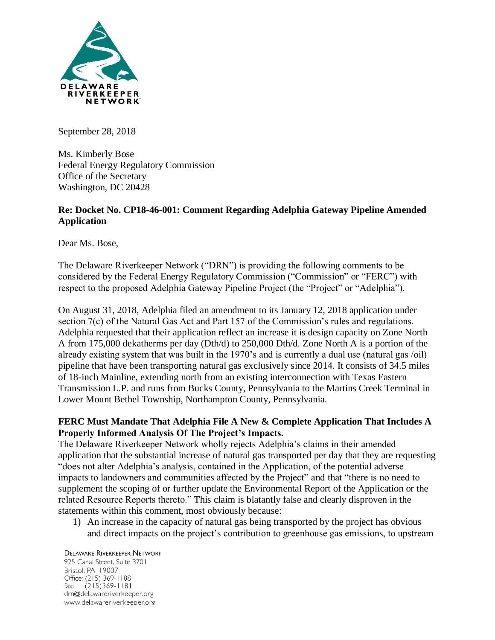

September 28, 2018

Ms. Kimberly Bose Federal Energy Regulatory Commission Office of the Secretary Washington, DC 20428

#### **Re: Docket No. CP18-46-001: Comment Regarding Adelphia Gateway Pipeline Amended Application**

Dear Ms. Bose,

The Delaware Riverkeeper Network ("DRN") is providing the following comments to be considered by the Federal Energy Regulatory Commission ("Commission" or "FERC") with respect to the proposed Adelphia Gateway Pipeline Project (the "Project" or "Adelphia").

On August 31, 2018, Adelphia filed an amendment to its January 12, 2018 application under section 7(c) of the Natural Gas Act and Part 157 of the Commission's rules and regulations. Adelphia requested that their application reflect an increase it is design capacity on Zone North A from 175,000 dekatherms per day (Dth/d) to 250,000 Dth/d. Zone North A is a portion of the already existing system that was built in the 1970's and is currently a dual use (natural gas /oil) pipeline that have been transporting natural gas exclusively since 2014. It consists of 34.5 miles of 18-inch Mainline, extending north from an existing interconnection with Texas Eastern Transmission L.P. and runs from Bucks County, Pennsylvania to the Martins Creek Terminal in Lower Mount Bethel Township, Northampton County, Pennsylvania.

#### **FERC Must Mandate That Adelphia File A New & Complete Application That Includes A Properly Informed Analysis Of The Project's Impacts.**

The Delaware Riverkeeper Network wholly rejects Adelphia's claims in their amended application that the substantial increase of natural gas transported per day that they are requesting "does not alter Adelphia's analysis, contained in the Application, of the potential adverse impacts to landowners and communities affected by the Project" and that "there is no need to supplement the scoping of or further update the Environmental Report of the Application or the related Resource Reports thereto." This claim is blatantly false and clearly disproven in the statements within this comment, most obviously because:

1) An increase in the capacity of natural gas being transported by the project has obvious and direct impacts on the project's contribution to greenhouse gas emissions, to upstream

**DELAWARE RIVERKEEPER NETWORK** 925 Canal Street, Suite 3701 Bristol, PA 19007 Office: (215) 369-1188 fax:  $(215)369-1181$ drn@delawareriverkeeper.org www.delawareriverkeeper.org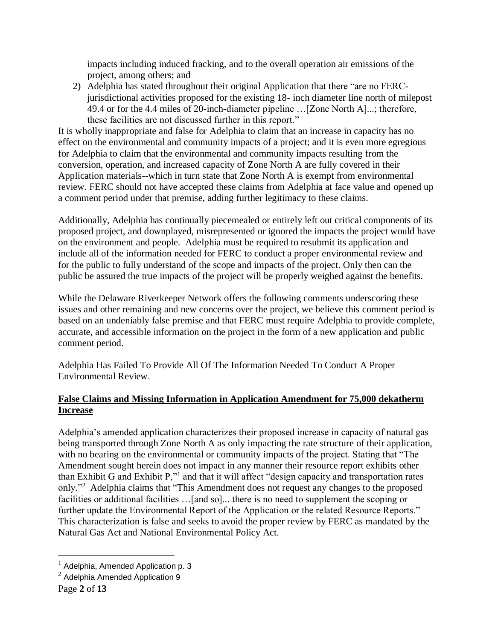impacts including induced fracking, and to the overall operation air emissions of the project, among others; and

2) Adelphia has stated throughout their original Application that there "are no FERCjurisdictional activities proposed for the existing 18- inch diameter line north of milepost 49.4 or for the 4.4 miles of 20-inch-diameter pipeline …[Zone North A]...; therefore, these facilities are not discussed further in this report."

It is wholly inappropriate and false for Adelphia to claim that an increase in capacity has no effect on the environmental and community impacts of a project; and it is even more egregious for Adelphia to claim that the environmental and community impacts resulting from the conversion, operation, and increased capacity of Zone North A are fully covered in their Application materials--which in turn state that Zone North A is exempt from environmental review. FERC should not have accepted these claims from Adelphia at face value and opened up a comment period under that premise, adding further legitimacy to these claims.

Additionally, Adelphia has continually piecemealed or entirely left out critical components of its proposed project, and downplayed, misrepresented or ignored the impacts the project would have on the environment and people. Adelphia must be required to resubmit its application and include all of the information needed for FERC to conduct a proper environmental review and for the public to fully understand of the scope and impacts of the project. Only then can the public be assured the true impacts of the project will be properly weighed against the benefits.

While the Delaware Riverkeeper Network offers the following comments underscoring these issues and other remaining and new concerns over the project, we believe this comment period is based on an undeniably false premise and that FERC must require Adelphia to provide complete, accurate, and accessible information on the project in the form of a new application and public comment period.

Adelphia Has Failed To Provide All Of The Information Needed To Conduct A Proper Environmental Review.

## **False Claims and Missing Information in Application Amendment for 75,000 dekatherm Increase**

Adelphia's amended application characterizes their proposed increase in capacity of natural gas being transported through Zone North A as only impacting the rate structure of their application, with no bearing on the environmental or community impacts of the project. Stating that "The Amendment sought herein does not impact in any manner their resource report exhibits other than Exhibit G and Exhibit P,"<sup>1</sup> and that it will affect "design capacity and transportation rates only."<sup>2</sup> Adelphia claims that "This Amendment does not request any changes to the proposed facilities or additional facilities …[and so]... there is no need to supplement the scoping or further update the Environmental Report of the Application or the related Resource Reports." This characterization is false and seeks to avoid the proper review by FERC as mandated by the Natural Gas Act and National Environmental Policy Act.

 $<sup>1</sup>$  Adelphia, Amended Application p. 3</sup>

<sup>2</sup> Adelphia Amended Application 9

Page **2** of **13**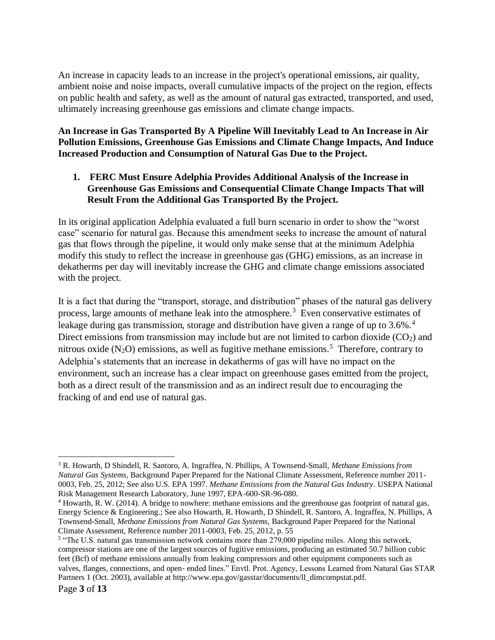An increase in capacity leads to an increase in the project's operational emissions, air quality, ambient noise and noise impacts, overall cumulative impacts of the project on the region, effects on public health and safety, as well as the amount of natural gas extracted, transported, and used, ultimately increasing greenhouse gas emissions and climate change impacts.

**An Increase in Gas Transported By A Pipeline Will Inevitably Lead to An Increase in Air Pollution Emissions, Greenhouse Gas Emissions and Climate Change Impacts, And Induce Increased Production and Consumption of Natural Gas Due to the Project.**

### **1. FERC Must Ensure Adelphia Provides Additional Analysis of the Increase in Greenhouse Gas Emissions and Consequential Climate Change Impacts That will Result From the Additional Gas Transported By the Project.**

In its original application Adelphia evaluated a full burn scenario in order to show the "worst case" scenario for natural gas. Because this amendment seeks to increase the amount of natural gas that flows through the pipeline, it would only make sense that at the minimum Adelphia modify this study to reflect the increase in greenhouse gas (GHG) emissions, as an increase in dekatherms per day will inevitably increase the GHG and climate change emissions associated with the project.

It is a fact that during the "transport, storage, and distribution" phases of the natural gas delivery process, large amounts of methane leak into the atmosphere.<sup>3</sup> Even conservative estimates of leakage during gas transmission, storage and distribution have given a range of up to 3.6%.<sup>4</sup> Direct emissions from transmission may include but are not limited to carbon dioxide  $(CO<sub>2</sub>)$  and nitrous oxide  $(N_2O)$  emissions, as well as fugitive methane emissions.<sup>5</sup> Therefore, contrary to Adelphia's statements that an increase in dekatherms of gas will have no impact on the environment, such an increase has a clear impact on greenhouse gases emitted from the project, both as a direct result of the transmission and as an indirect result due to encouraging the fracking of and end use of natural gas.

 $\overline{a}$ <sup>3</sup> R. Howarth, D Shindell, R. Santoro, A. Ingraffea, N. Phillips, A Townsend-Small, *Methane Emissions from Natural Gas Systems*, Background Paper Prepared for the National Climate Assessment, Reference number 2011- 0003, Feb. 25, 2012; See also U.S. EPA 1997. *Methane Emissions from the Natural Gas Industry*. USEPA National Risk Management Research Laboratory, June 1997, EPA-600-SR-96-080.

<sup>&</sup>lt;sup>4</sup> Howarth, R. W. (2014). A bridge to nowhere: methane emissions and the greenhouse gas footprint of natural gas. Energy Science & Engineering.; See also Howarth, R. Howarth, D Shindell, R. Santoro, A. Ingraffea, N. Phillips, A Townsend-Small, *Methane Emissions from Natural Gas Systems*, Background Paper Prepared for the National Climate Assessment, Reference number 2011-0003, Feb. 25, 2012, p. 55

<sup>&</sup>lt;sup>5</sup> "The U.S. natural gas transmission network contains more than 279,000 pipeline miles. Along this network, compressor stations are one of the largest sources of fugitive emissions, producing an estimated 50.7 billion cubic feet (Bcf) of methane emissions annually from leaking compressors and other equipment components such as valves, flanges, connections, and open‐ ended lines." Envtl. Prot. Agency, Lessons Learned from Natural Gas STAR Partners 1 (Oct. 2003), available at http://www.epa.gov/gasstar/documents/ll\_dimcompstat.pdf.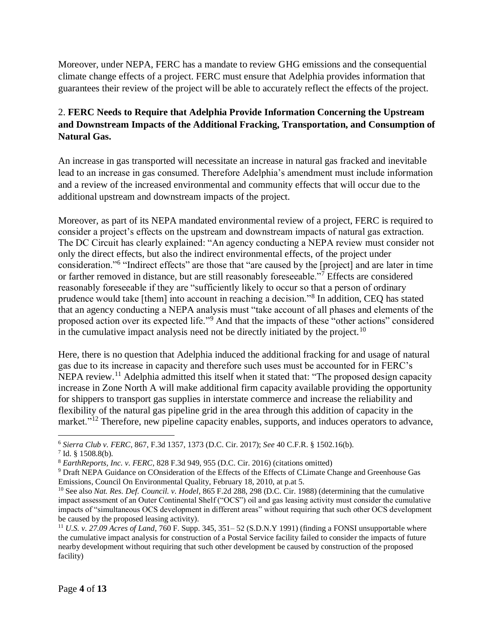Moreover, under NEPA, FERC has a mandate to review GHG emissions and the consequential climate change effects of a project. FERC must ensure that Adelphia provides information that guarantees their review of the project will be able to accurately reflect the effects of the project.

## 2. **FERC Needs to Require that Adelphia Provide Information Concerning the Upstream and Downstream Impacts of the Additional Fracking, Transportation, and Consumption of Natural Gas.**

An increase in gas transported will necessitate an increase in natural gas fracked and inevitable lead to an increase in gas consumed. Therefore Adelphia's amendment must include information and a review of the increased environmental and community effects that will occur due to the additional upstream and downstream impacts of the project.

Moreover, as part of its NEPA mandated environmental review of a project, FERC is required to consider a project's effects on the upstream and downstream impacts of natural gas extraction. The DC Circuit has clearly explained: "An agency conducting a NEPA review must consider not only the direct effects, but also the indirect environmental effects, of the project under consideration."<sup>6</sup> "Indirect effects" are those that "are caused by the [project] and are later in time or farther removed in distance, but are still reasonably foreseeable."<sup>7</sup> Effects are considered reasonably foreseeable if they are "sufficiently likely to occur so that a person of ordinary prudence would take [them] into account in reaching a decision."<sup>8</sup> In addition, CEQ has stated that an agency conducting a NEPA analysis must "take account of all phases and elements of the proposed action over its expected life."<sup>9</sup> And that the impacts of these "other actions" considered in the cumulative impact analysis need not be directly initiated by the project.<sup>10</sup>

Here, there is no question that Adelphia induced the additional fracking for and usage of natural gas due to its increase in capacity and therefore such uses must be accounted for in FERC's NEPA review.<sup>11</sup> Adelphia admitted this itself when it stated that: "The proposed design capacity increase in Zone North A will make additional firm capacity available providing the opportunity for shippers to transport gas supplies in interstate commerce and increase the reliability and flexibility of the natural gas pipeline grid in the area through this addition of capacity in the market."<sup>12</sup> Therefore, new pipeline capacity enables, supports, and induces operators to advance,

<sup>6</sup> *Sierra Club v. FERC*, 867, F.3d 1357, 1373 (D.C. Cir. 2017); *See* 40 C.F.R. § 1502.16(b).

 $7$  Id. § 1508.8(b).

<sup>8</sup> *EarthReports, Inc. v. FERC*, 828 F.3d 949, 955 (D.C. Cir. 2016) (citations omitted)

<sup>9</sup> Draft NEPA Guidance on COnsideration of the Effects of the Effects of CLimate Change and Greenhouse Gas Emissions, Council On Environmental Quality, February 18, 2010, at p.at 5.

<sup>10</sup> See also *Nat. Res. Def. Council. v. Hodel*, 865 F.2d 288, 298 (D.C. Cir. 1988) (determining that the cumulative impact assessment of an Outer Continental Shelf ("OCS") oil and gas leasing activity must consider the cumulative impacts of "simultaneous OCS development in different areas" without requiring that such other OCS development be caused by the proposed leasing activity).

<sup>11</sup> *U.S. v. 27.09 Acres of Land*, 760 F. Supp. 345, 351– 52 (S.D.N.Y 1991) (finding a FONSI unsupportable where the cumulative impact analysis for construction of a Postal Service facility failed to consider the impacts of future nearby development without requiring that such other development be caused by construction of the proposed facility)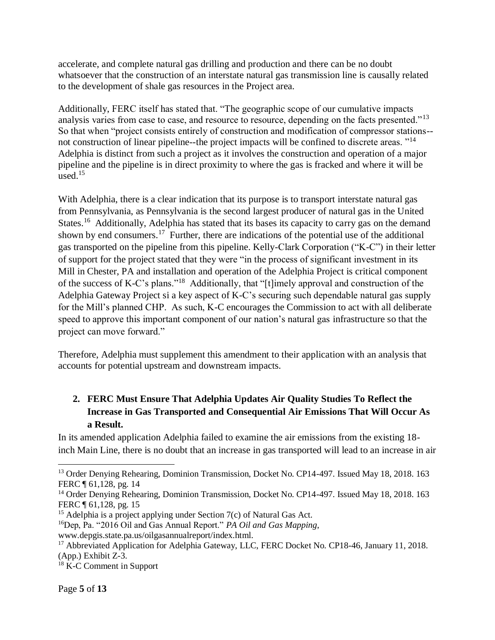accelerate, and complete natural gas drilling and production and there can be no doubt whatsoever that the construction of an interstate natural gas transmission line is causally related to the development of shale gas resources in the Project area.

Additionally, FERC itself has stated that. "The geographic scope of our cumulative impacts analysis varies from case to case, and resource to resource, depending on the facts presented."<sup>13</sup> So that when "project consists entirely of construction and modification of compressor stations- not construction of linear pipeline--the project impacts will be confined to discrete areas. "<sup>14</sup> Adelphia is distinct from such a project as it involves the construction and operation of a major pipeline and the pipeline is in direct proximity to where the gas is fracked and where it will be used. $15$ 

With Adelphia, there is a clear indication that its purpose is to transport interstate natural gas from Pennsylvania, as Pennsylvania is the second largest producer of natural gas in the United States.<sup>16</sup> Additionally, Adelphia has stated that its bases its capacity to carry gas on the demand shown by end consumers.<sup>17</sup> Further, there are indications of the potential use of the additional gas transported on the pipeline from this pipeline. Kelly-Clark Corporation ("K-C") in their letter of support for the project stated that they were "in the process of significant investment in its Mill in Chester, PA and installation and operation of the Adelphia Project is critical component of the success of K-C's plans."<sup>18</sup> Additionally, that "[t]imely approval and construction of the Adelphia Gateway Project si a key aspect of K-C's securing such dependable natural gas supply for the Mill's planned CHP. As such, K-C encourages the Commission to act with all deliberate speed to approve this important component of our nation's natural gas infrastructure so that the project can move forward."

Therefore, Adelphia must supplement this amendment to their application with an analysis that accounts for potential upstream and downstream impacts.

# **2. FERC Must Ensure That Adelphia Updates Air Quality Studies To Reflect the Increase in Gas Transported and Consequential Air Emissions That Will Occur As a Result.**

In its amended application Adelphia failed to examine the air emissions from the existing 18 inch Main Line, there is no doubt that an increase in gas transported will lead to an increase in air

 $\overline{a}$ <sup>13</sup> Order Denying Rehearing, Dominion Transmission, Docket No. CP14-497. Issued May 18, 2018. 163 FERC ¶ 61,128, pg. 14

<sup>&</sup>lt;sup>14</sup> Order Denying Rehearing, Dominion Transmission, Docket No. CP14-497. Issued May 18, 2018. 163 FERC ¶ 61,128, pg. 15

<sup>&</sup>lt;sup>15</sup> Adelphia is a project applying under Section 7(c) of Natural Gas Act.

<sup>16</sup>Dep, Pa. "2016 Oil and Gas Annual Report." *PA Oil and Gas Mapping*,

www.depgis.state.pa.us/oilgasannualreport/index.html.

<sup>&</sup>lt;sup>17</sup> Abbreviated Application for Adelphia Gateway, LLC, FERC Docket No. CP18-46, January 11, 2018. (App.) Exhibit Z-3.

<sup>&</sup>lt;sup>18</sup> K-C Comment in Support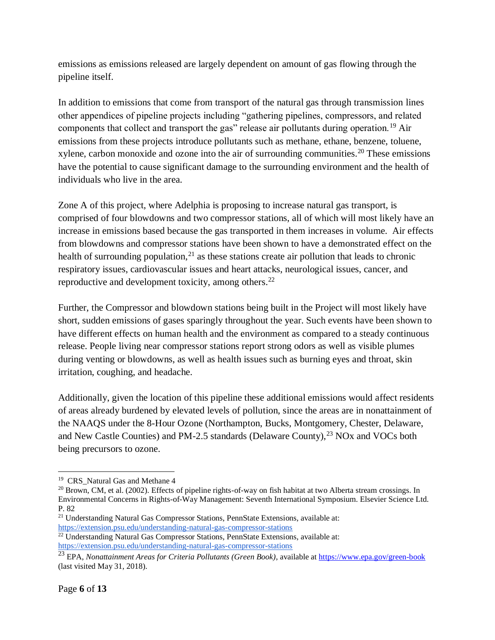emissions as emissions released are largely dependent on amount of gas flowing through the pipeline itself.

In addition to emissions that come from transport of the natural gas through transmission lines other appendices of pipeline projects including "gathering pipelines, compressors, and related components that collect and transport the gas" release air pollutants during operation.<sup>19</sup> Air emissions from these projects introduce pollutants such as methane, ethane, benzene, toluene, xylene, carbon monoxide and ozone into the air of surrounding communities.<sup>20</sup> These emissions have the potential to cause significant damage to the surrounding environment and the health of individuals who live in the area.

Zone A of this project, where Adelphia is proposing to increase natural gas transport, is comprised of four blowdowns and two compressor stations, all of which will most likely have an increase in emissions based because the gas transported in them increases in volume. Air effects from blowdowns and compressor stations have been shown to have a demonstrated effect on the health of surrounding population, $^{21}$  as these stations create air pollution that leads to chronic respiratory issues, cardiovascular issues and heart attacks, neurological issues, cancer, and reproductive and development toxicity, among others.<sup>22</sup>

Further, the Compressor and blowdown stations being built in the Project will most likely have short, sudden emissions of gases sparingly throughout the year. Such events have been shown to have different effects on human health and the environment as compared to a steady continuous release. People living near compressor stations report strong odors as well as visible plumes during venting or blowdowns, as well as health issues such as burning eyes and throat, skin irritation, coughing, and headache.

Additionally, given the location of this pipeline these additional emissions would affect residents of areas already burdened by elevated levels of pollution, since the areas are in nonattainment of the NAAQS under the 8-Hour Ozone (Northampton, Bucks, Montgomery, Chester, Delaware, and New Castle Counties) and PM-2.5 standards (Delaware County),  $^{23}$  NOx and VOCs both being precursors to ozone.

 $\overline{a}$ <sup>19</sup> CRS\_Natural Gas and Methane 4

 $^{20}$  Brown, CM, et al. (2002). Effects of pipeline rights-of-way on fish habitat at two Alberta stream crossings. In Environmental Concerns in Rights-of-Way Management: Seventh International Symposium. Elsevier Science Ltd. P. 82

<sup>&</sup>lt;sup>21</sup> Understanding Natural Gas Compressor Stations, PennState Extensions, available at: <https://extension.psu.edu/understanding-natural-gas-compressor-stations>

<sup>&</sup>lt;sup>22</sup> Understanding Natural Gas Compressor Stations, PennState Extensions, available at: <https://extension.psu.edu/understanding-natural-gas-compressor-stations>

<sup>23</sup> EPA, *Nonattainment Areas for Criteria Pollutants (Green Book)*, available at<https://www.epa.gov/green-book> (last visited May 31, 2018).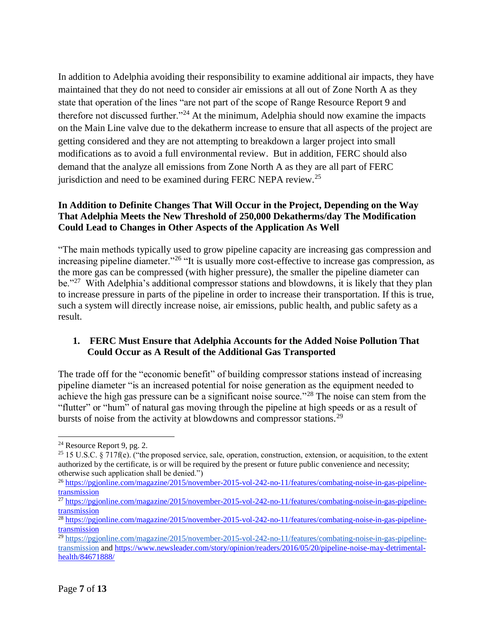In addition to Adelphia avoiding their responsibility to examine additional air impacts, they have maintained that they do not need to consider air emissions at all out of Zone North A as they state that operation of the lines "are not part of the scope of Range Resource Report 9 and therefore not discussed further."<sup>24</sup> At the minimum, Adelphia should now examine the impacts on the Main Line valve due to the dekatherm increase to ensure that all aspects of the project are getting considered and they are not attempting to breakdown a larger project into small modifications as to avoid a full environmental review. But in addition, FERC should also demand that the analyze all emissions from Zone North A as they are all part of FERC jurisdiction and need to be examined during FERC NEPA review.<sup>25</sup>

### **In Addition to Definite Changes That Will Occur in the Project, Depending on the Way That Adelphia Meets the New Threshold of 250,000 Dekatherms/day The Modification Could Lead to Changes in Other Aspects of the Application As Well**

"The main methods typically used to grow pipeline capacity are increasing gas compression and increasing pipeline diameter."<sup>26</sup> "It is usually more cost-effective to increase gas compression, as the more gas can be compressed (with higher pressure), the smaller the pipeline diameter can be."<sup>27</sup> With Adelphia's additional compressor stations and blowdowns, it is likely that they plan to increase pressure in parts of the pipeline in order to increase their transportation. If this is true, such a system will directly increase noise, air emissions, public health, and public safety as a result.

## **1. FERC Must Ensure that Adelphia Accounts for the Added Noise Pollution That Could Occur as A Result of the Additional Gas Transported**

The trade off for the "economic benefit" of building compressor stations instead of increasing pipeline diameter "is an increased potential for noise generation as the equipment needed to achieve the high gas pressure can be a significant noise source."<sup>28</sup> The noise can stem from the "flutter" or "hum" of natural gas moving through the pipeline at high speeds or as a result of bursts of noise from the activity at blowdowns and compressor stations.<sup>29</sup>

<sup>24</sup> Resource Report 9, pg. 2.

<sup>&</sup>lt;sup>25</sup> 15 U.S.C. § 717f(e). ("the proposed service, sale, operation, construction, extension, or acquisition, to the extent authorized by the certificate, is or will be required by the present or future public convenience and necessity; otherwise such application shall be denied.")

<sup>26</sup> [https://pgjonline.com/magazine/2015/november-2015-vol-242-no-11/features/combating-noise-in-gas-pipeline](https://pgjonline.com/magazine/2015/november-2015-vol-242-no-11/features/combating-noise-in-gas-pipeline-transmission)[transmission](https://pgjonline.com/magazine/2015/november-2015-vol-242-no-11/features/combating-noise-in-gas-pipeline-transmission)

<sup>27</sup> [https://pgjonline.com/magazine/2015/november-2015-vol-242-no-11/features/combating-noise-in-gas-pipeline](https://pgjonline.com/magazine/2015/november-2015-vol-242-no-11/features/combating-noise-in-gas-pipeline-transmission)[transmission](https://pgjonline.com/magazine/2015/november-2015-vol-242-no-11/features/combating-noise-in-gas-pipeline-transmission)

<sup>28</sup> [https://pgjonline.com/magazine/2015/november-2015-vol-242-no-11/features/combating-noise-in-gas-pipeline](https://pgjonline.com/magazine/2015/november-2015-vol-242-no-11/features/combating-noise-in-gas-pipeline-transmission)[transmission](https://pgjonline.com/magazine/2015/november-2015-vol-242-no-11/features/combating-noise-in-gas-pipeline-transmission)

<sup>&</sup>lt;sup>29</sup> [https://pgjonline.com/magazine/2015/november-2015-vol-242-no-11/features/combating-noise-in-gas-pipeline](https://pgjonline.com/magazine/2015/november-2015-vol-242-no-11/features/combating-noise-in-gas-pipeline-transmission)[transmission](https://pgjonline.com/magazine/2015/november-2015-vol-242-no-11/features/combating-noise-in-gas-pipeline-transmission) and [https://www.newsleader.com/story/opinion/readers/2016/05/20/pipeline-noise-may-detrimental](https://www.newsleader.com/story/opinion/readers/2016/05/20/pipeline-noise-may-detrimental-health/84671888/)[health/84671888/](https://www.newsleader.com/story/opinion/readers/2016/05/20/pipeline-noise-may-detrimental-health/84671888/)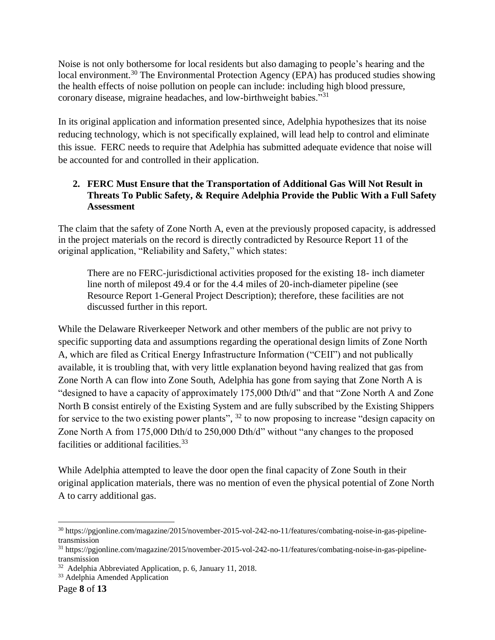Noise is not only bothersome for local residents but also damaging to people's hearing and the local environment.<sup>30</sup> The Environmental Protection Agency (EPA) has produced studies showing the health effects of noise pollution on people can include: including high blood pressure, coronary disease, migraine headaches, and low-birthweight babies."<sup>31</sup>

In its original application and information presented since, Adelphia hypothesizes that its noise reducing technology, which is not specifically explained, will lead help to control and eliminate this issue. FERC needs to require that Adelphia has submitted adequate evidence that noise will be accounted for and controlled in their application.

## **2. FERC Must Ensure that the Transportation of Additional Gas Will Not Result in Threats To Public Safety, & Require Adelphia Provide the Public With a Full Safety Assessment**

The claim that the safety of Zone North A, even at the previously proposed capacity, is addressed in the project materials on the record is directly contradicted by Resource Report 11 of the original application, "Reliability and Safety," which states:

There are no FERC-jurisdictional activities proposed for the existing 18- inch diameter line north of milepost 49.4 or for the 4.4 miles of 20-inch-diameter pipeline (see Resource Report 1-General Project Description); therefore, these facilities are not discussed further in this report.

While the Delaware Riverkeeper Network and other members of the public are not privy to specific supporting data and assumptions regarding the operational design limits of Zone North A, which are filed as Critical Energy Infrastructure Information ("CEII") and not publically available, it is troubling that, with very little explanation beyond having realized that gas from Zone North A can flow into Zone South, Adelphia has gone from saying that Zone North A is "designed to have a capacity of approximately 175,000 Dth/d" and that "Zone North A and Zone North B consist entirely of the Existing System and are fully subscribed by the Existing Shippers for service to the two existing power plants",  $32$  to now proposing to increase "design capacity on Zone North A from 175,000 Dth/d to 250,000 Dth/d" without "any changes to the proposed facilities or additional facilities.<sup>33</sup>

While Adelphia attempted to leave the door open the final capacity of Zone South in their original application materials, there was no mention of even the physical potential of Zone North A to carry additional gas.

 $\overline{a}$ <sup>30</sup> https://pgjonline.com/magazine/2015/november-2015-vol-242-no-11/features/combating-noise-in-gas-pipelinetransmission

<sup>31</sup> https://pgjonline.com/magazine/2015/november-2015-vol-242-no-11/features/combating-noise-in-gas-pipelinetransmission

<sup>32</sup> Adelphia Abbreviated Application, p. 6, January 11, 2018.

<sup>&</sup>lt;sup>33</sup> Adelphia Amended Application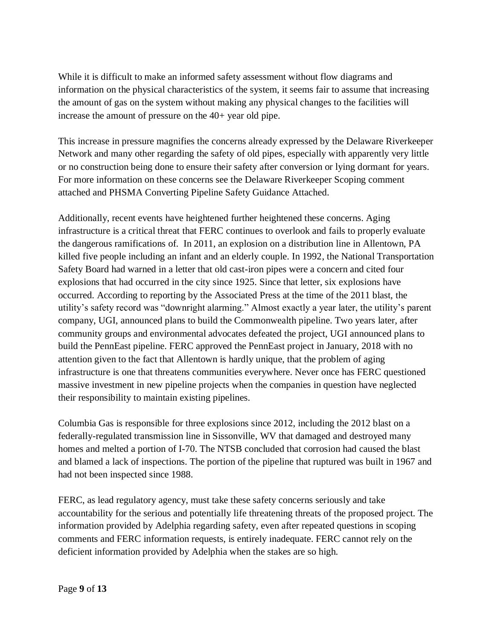While it is difficult to make an informed safety assessment without flow diagrams and information on the physical characteristics of the system, it seems fair to assume that increasing the amount of gas on the system without making any physical changes to the facilities will increase the amount of pressure on the 40+ year old pipe.

This increase in pressure magnifies the concerns already expressed by the Delaware Riverkeeper Network and many other regarding the safety of old pipes, especially with apparently very little or no construction being done to ensure their safety after conversion or lying dormant for years. For more information on these concerns see the Delaware Riverkeeper Scoping comment attached and PHSMA Converting Pipeline Safety Guidance Attached.

Additionally, recent events have heightened further heightened these concerns. Aging infrastructure is a critical threat that FERC continues to overlook and fails to properly evaluate the dangerous ramifications of. In 2011, an explosion on a distribution line in Allentown, PA killed five people including an infant and an elderly couple. In 1992, the National Transportation Safety Board had warned in a letter that old cast-iron pipes were a concern and cited four explosions that had occurred in the city since 1925. Since that letter, six explosions have occurred. According to reporting by the Associated Press at the time of the 2011 blast, the utility's safety record was "downright alarming." Almost exactly a year later, the utility's parent company, UGI, announced plans to build the Commonwealth pipeline. Two years later, after community groups and environmental advocates defeated the project, UGI announced plans to build the PennEast pipeline. FERC approved the PennEast project in January, 2018 with no attention given to the fact that Allentown is hardly unique, that the problem of aging infrastructure is one that threatens communities everywhere. Never once has FERC questioned massive investment in new pipeline projects when the companies in question have neglected their responsibility to maintain existing pipelines.

Columbia Gas is responsible for three explosions since 2012, including the 2012 blast on a federally-regulated transmission line in Sissonville, WV that damaged and destroyed many homes and melted a portion of I-70. The NTSB concluded that corrosion had caused the blast and blamed a lack of inspections. The portion of the pipeline that ruptured was built in 1967 and had not been inspected since 1988.

FERC, as lead regulatory agency, must take these safety concerns seriously and take accountability for the serious and potentially life threatening threats of the proposed project. The information provided by Adelphia regarding safety, even after repeated questions in scoping comments and FERC information requests, is entirely inadequate. FERC cannot rely on the deficient information provided by Adelphia when the stakes are so high.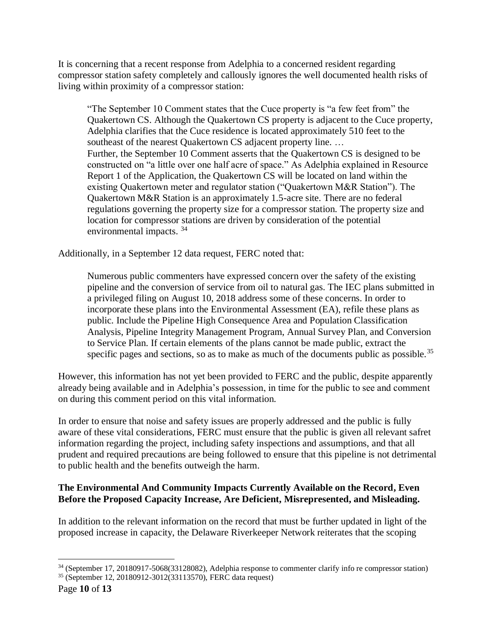It is concerning that a recent response from Adelphia to a concerned resident regarding compressor station safety completely and callously ignores the well documented health risks of living within proximity of a compressor station:

"The September 10 Comment states that the Cuce property is "a few feet from" the Quakertown CS. Although the Quakertown CS property is adjacent to the Cuce property, Adelphia clarifies that the Cuce residence is located approximately 510 feet to the southeast of the nearest Quakertown CS adjacent property line. ... Further, the September 10 Comment asserts that the Quakertown CS is designed to be constructed on "a little over one half acre of space." As Adelphia explained in Resource Report 1 of the Application, the Quakertown CS will be located on land within the existing Quakertown meter and regulator station ("Quakertown M&R Station"). The Quakertown M&R Station is an approximately 1.5-acre site. There are no federal regulations governing the property size for a compressor station. The property size and location for compressor stations are driven by consideration of the potential environmental impacts. <sup>34</sup>

Additionally, in a September 12 data request, FERC noted that:

Numerous public commenters have expressed concern over the safety of the existing pipeline and the conversion of service from oil to natural gas. The IEC plans submitted in a privileged filing on August 10, 2018 address some of these concerns. In order to incorporate these plans into the Environmental Assessment (EA), refile these plans as public. Include the Pipeline High Consequence Area and Population Classification Analysis, Pipeline Integrity Management Program, Annual Survey Plan, and Conversion to Service Plan. If certain elements of the plans cannot be made public, extract the specific pages and sections, so as to make as much of the documents public as possible.<sup>35</sup>

However, this information has not yet been provided to FERC and the public, despite apparently already being available and in Adelphia's possession, in time for the public to see and comment on during this comment period on this vital information.

In order to ensure that noise and safety issues are properly addressed and the public is fully aware of these vital considerations, FERC must ensure that the public is given all relevant safret information regarding the project, including safety inspections and assumptions, and that all prudent and required precautions are being followed to ensure that this pipeline is not detrimental to public health and the benefits outweigh the harm.

#### **The Environmental And Community Impacts Currently Available on the Record, Even Before the Proposed Capacity Increase, Are Deficient, Misrepresented, and Misleading.**

In addition to the relevant information on the record that must be further updated in light of the proposed increase in capacity, the Delaware Riverkeeper Network reiterates that the scoping

 $\overline{a}$ <sup>34</sup> (September 17, 20180917-5068(33128082), Adelphia response to commenter clarify info re compressor station) <sup>35</sup> (September 12, 20180912-3012(33113570), FERC data request)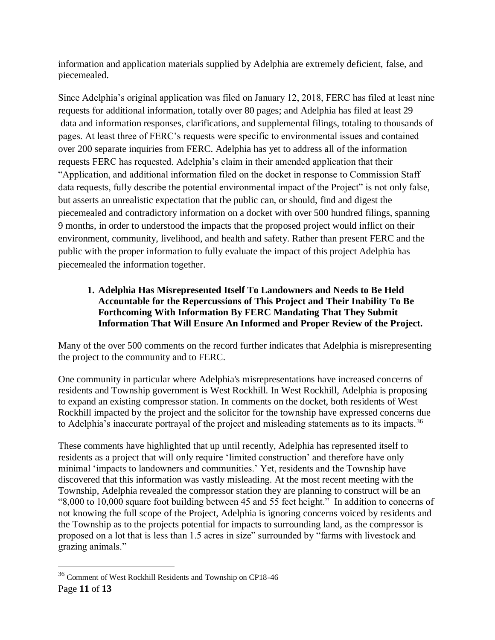information and application materials supplied by Adelphia are extremely deficient, false, and piecemealed.

Since Adelphia's original application was filed on January 12, 2018, FERC has filed at least nine requests for additional information, totally over 80 pages; and Adelphia has filed at least 29 data and information responses, clarifications, and supplemental filings, totaling to thousands of pages. At least three of FERC's requests were specific to environmental issues and contained over 200 separate inquiries from FERC. Adelphia has yet to address all of the information requests FERC has requested. Adelphia's claim in their amended application that their "Application, and additional information filed on the docket in response to Commission Staff data requests, fully describe the potential environmental impact of the Project" is not only false, but asserts an unrealistic expectation that the public can, or should, find and digest the piecemealed and contradictory information on a docket with over 500 hundred filings, spanning 9 months, in order to understood the impacts that the proposed project would inflict on their environment, community, livelihood, and health and safety. Rather than present FERC and the public with the proper information to fully evaluate the impact of this project Adelphia has piecemealed the information together.

### **1. Adelphia Has Misrepresented Itself To Landowners and Needs to Be Held Accountable for the Repercussions of This Project and Their Inability To Be Forthcoming With Information By FERC Mandating That They Submit Information That Will Ensure An Informed and Proper Review of the Project.**

Many of the over 500 comments on the record further indicates that Adelphia is misrepresenting the project to the community and to FERC.

One community in particular where Adelphia's misrepresentations have increased concerns of residents and Township government is West Rockhill. In West Rockhill, Adelphia is proposing to expand an existing compressor station. In comments on the docket, both residents of West Rockhill impacted by the project and the solicitor for the township have expressed concerns due to Adelphia's inaccurate portrayal of the project and misleading statements as to its impacts.<sup>36</sup>

These comments have highlighted that up until recently, Adelphia has represented itself to residents as a project that will only require 'limited construction' and therefore have only minimal 'impacts to landowners and communities.' Yet, residents and the Township have discovered that this information was vastly misleading. At the most recent meeting with the Township, Adelphia revealed the compressor station they are planning to construct will be an "8,000 to 10,000 square foot building between 45 and 55 feet height." In addition to concerns of not knowing the full scope of the Project, Adelphia is ignoring concerns voiced by residents and the Township as to the projects potential for impacts to surrounding land, as the compressor is proposed on a lot that is less than 1.5 acres in size" surrounded by "farms with livestock and grazing animals."

<sup>36</sup> Comment of West Rockhill Residents and Township on CP18-46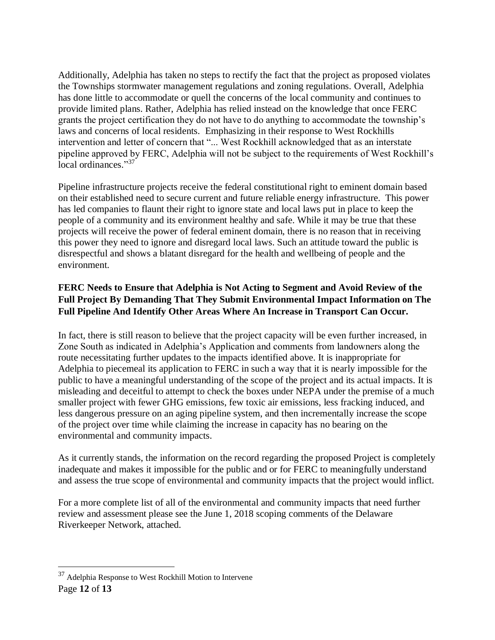Additionally, Adelphia has taken no steps to rectify the fact that the project as proposed violates the Townships stormwater management regulations and zoning regulations. Overall, Adelphia has done little to accommodate or quell the concerns of the local community and continues to provide limited plans. Rather, Adelphia has relied instead on the knowledge that once FERC grants the project certification they do not have to do anything to accommodate the township's laws and concerns of local residents. Emphasizing in their response to West Rockhills intervention and letter of concern that "... West Rockhill acknowledged that as an interstate pipeline approved by FERC, Adelphia will not be subject to the requirements of West Rockhill's local ordinances."37

Pipeline infrastructure projects receive the federal constitutional right to eminent domain based on their established need to secure current and future reliable energy infrastructure. This power has led companies to flaunt their right to ignore state and local laws put in place to keep the people of a community and its environment healthy and safe. While it may be true that these projects will receive the power of federal eminent domain, there is no reason that in receiving this power they need to ignore and disregard local laws. Such an attitude toward the public is disrespectful and shows a blatant disregard for the health and wellbeing of people and the environment.

# **FERC Needs to Ensure that Adelphia is Not Acting to Segment and Avoid Review of the Full Project By Demanding That They Submit Environmental Impact Information on The Full Pipeline And Identify Other Areas Where An Increase in Transport Can Occur.**

In fact, there is still reason to believe that the project capacity will be even further increased, in Zone South as indicated in Adelphia's Application and comments from landowners along the route necessitating further updates to the impacts identified above. It is inappropriate for Adelphia to piecemeal its application to FERC in such a way that it is nearly impossible for the public to have a meaningful understanding of the scope of the project and its actual impacts. It is misleading and deceitful to attempt to check the boxes under NEPA under the premise of a much smaller project with fewer GHG emissions, few toxic air emissions, less fracking induced, and less dangerous pressure on an aging pipeline system, and then incrementally increase the scope of the project over time while claiming the increase in capacity has no bearing on the environmental and community impacts.

As it currently stands, the information on the record regarding the proposed Project is completely inadequate and makes it impossible for the public and or for FERC to meaningfully understand and assess the true scope of environmental and community impacts that the project would inflict.

For a more complete list of all of the environmental and community impacts that need further review and assessment please see the June 1, 2018 scoping comments of the Delaware Riverkeeper Network, attached.

<sup>&</sup>lt;sup>37</sup> Adelphia Response to West Rockhill Motion to Intervene